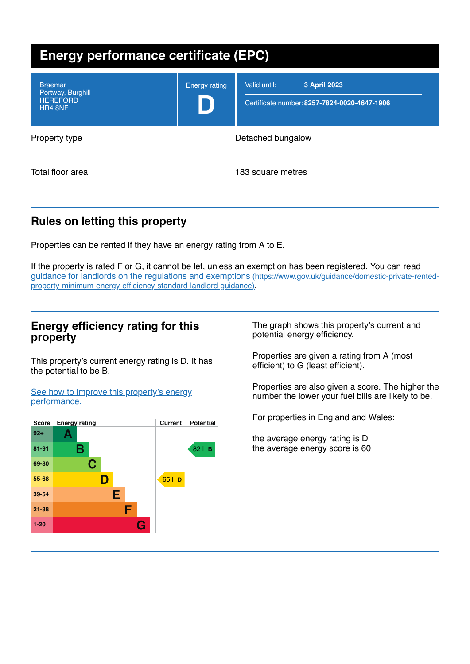| <b>Energy performance certificate (EPC)</b>                       |                      |                                                                              |  |  |
|-------------------------------------------------------------------|----------------------|------------------------------------------------------------------------------|--|--|
| <b>Braemar</b><br>Portway, Burghill<br><b>HEREFORD</b><br>HR4 8NF | <b>Energy rating</b> | 3 April 2023<br>Valid until:<br>Certificate number: 8257-7824-0020-4647-1906 |  |  |
| Property type                                                     | Detached bungalow    |                                                                              |  |  |
| Total floor area                                                  |                      | 183 square metres                                                            |  |  |

# **Rules on letting this property**

Properties can be rented if they have an energy rating from A to E.

If the property is rated F or G, it cannot be let, unless an exemption has been registered. You can read guidance for landlords on the regulations and exemptions (https://www.gov.uk/guidance/domestic-private-rented[property-minimum-energy-efficiency-standard-landlord-guidance\)](https://www.gov.uk/guidance/domestic-private-rented-property-minimum-energy-efficiency-standard-landlord-guidance).

## **Energy efficiency rating for this property**

This property's current energy rating is D. It has the potential to be B.

See how to improve this property's energy [performance.](#page-2-0)



The graph shows this property's current and potential energy efficiency.

Properties are given a rating from A (most efficient) to G (least efficient).

Properties are also given a score. The higher the number the lower your fuel bills are likely to be.

For properties in England and Wales:

the average energy rating is D the average energy score is 60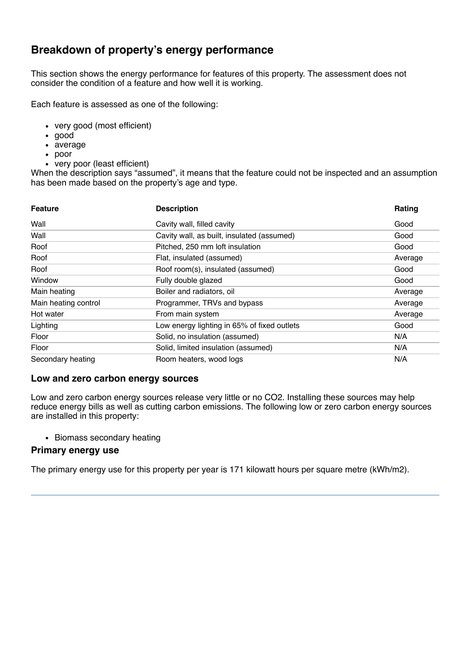# **Breakdown of property's energy performance**

This section shows the energy performance for features of this property. The assessment does not consider the condition of a feature and how well it is working.

Each feature is assessed as one of the following:

- very good (most efficient)
- good
- average
- poor
- very poor (least efficient)

When the description says "assumed", it means that the feature could not be inspected and an assumption has been made based on the property's age and type.

| <b>Feature</b>       | <b>Description</b>                          | Rating  |
|----------------------|---------------------------------------------|---------|
| Wall                 | Cavity wall, filled cavity                  | Good    |
| Wall                 | Cavity wall, as built, insulated (assumed)  | Good    |
| Roof                 | Pitched, 250 mm loft insulation             | Good    |
| Roof                 | Flat, insulated (assumed)                   | Average |
| Roof                 | Roof room(s), insulated (assumed)           | Good    |
| Window               | Fully double glazed                         | Good    |
| Main heating         | Boiler and radiators, oil                   | Average |
| Main heating control | Programmer, TRVs and bypass                 | Average |
| Hot water            | From main system                            | Average |
| Lighting             | Low energy lighting in 65% of fixed outlets | Good    |
| Floor                | Solid, no insulation (assumed)              | N/A     |
| Floor                | Solid, limited insulation (assumed)         | N/A     |
| Secondary heating    | Room heaters, wood logs                     | N/A     |

### **Low and zero carbon energy sources**

Low and zero carbon energy sources release very little or no CO2. Installing these sources may help reduce energy bills as well as cutting carbon emissions. The following low or zero carbon energy sources are installed in this property:

• Biomass secondary heating

### **Primary energy use**

The primary energy use for this property per year is 171 kilowatt hours per square metre (kWh/m2).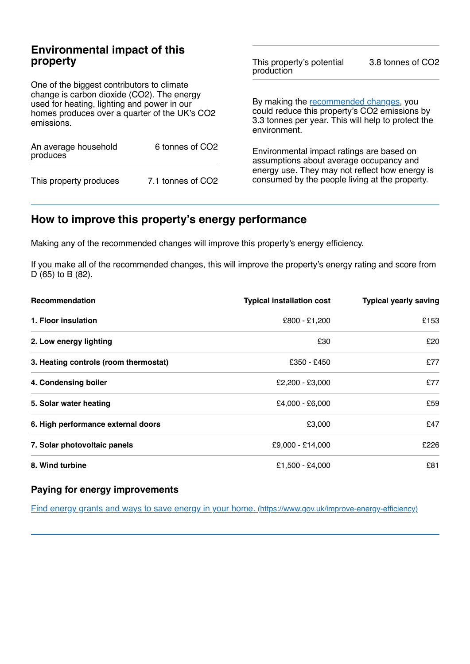## **Environmental impact of this property**

One of the biggest contributors to climate change is carbon dioxide (CO2). The energy used for heating, lighting and power in our homes produces over a quarter of the UK's CO2 emissions.

| An average household<br>produces | 6 tonnes of CO <sub>2</sub> |  |
|----------------------------------|-----------------------------|--|
| This property produces           | 7.1 tonnes of CO2           |  |

This property's potential production 3.8 tonnes of CO2

By making the [recommended](#page-2-0) changes, you could reduce this property's CO2 emissions by 3.3 tonnes per year. This will help to protect the environment.

Environmental impact ratings are based on assumptions about average occupancy and energy use. They may not reflect how energy is consumed by the people living at the property.

# <span id="page-2-0"></span>**How to improve this property's energy performance**

Making any of the recommended changes will improve this property's energy efficiency.

If you make all of the recommended changes, this will improve the property's energy rating and score from D (65) to B (82).

| Recommendation                        | <b>Typical installation cost</b> | <b>Typical yearly saving</b> |
|---------------------------------------|----------------------------------|------------------------------|
| 1. Floor insulation                   | £800 - £1,200                    | £153                         |
| 2. Low energy lighting                | £30                              | £20                          |
| 3. Heating controls (room thermostat) | £350 - £450                      | £77                          |
| 4. Condensing boiler                  | $£2,200 - £3,000$                | £77                          |
| 5. Solar water heating                | £4,000 - £6,000                  | £59                          |
| 6. High performance external doors    | £3,000                           | £47                          |
| 7. Solar photovoltaic panels          | £9,000 - £14,000                 | £226                         |
| 8. Wind turbine                       | £1,500 - £4,000                  | £81                          |

### **Paying for energy improvements**

Find energy grants and ways to save energy in your home. [\(https://www.gov.uk/improve-energy-efficiency\)](https://www.gov.uk/improve-energy-efficiency)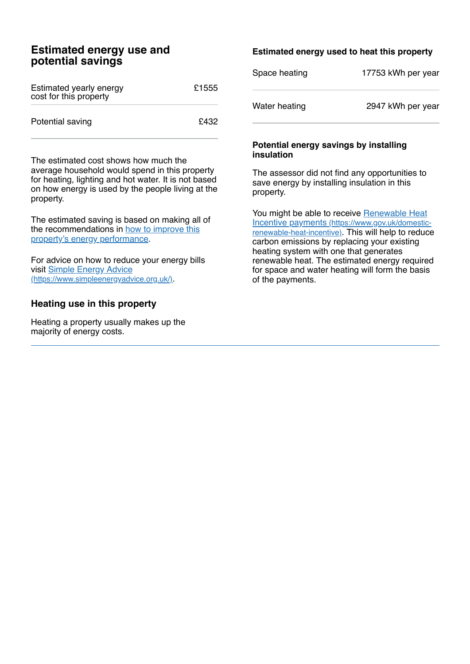## **Estimated energy use and potential savings**

| Estimated yearly energy<br>cost for this property | £1555 |
|---------------------------------------------------|-------|
| Potential saving                                  | £432  |

The estimated cost shows how much the average household would spend in this property for heating, lighting and hot water. It is not based on how energy is used by the people living at the property.

The estimated saving is based on making all of the [recommendations](#page-2-0) in how to improve this property's energy performance.

For advice on how to reduce your energy bills visit Simple Energy Advice [\(https://www.simpleenergyadvice.org.uk/\)](https://www.simpleenergyadvice.org.uk/).

## **Heating use in this property**

Heating a property usually makes up the majority of energy costs.

### **Estimated energy used to heat this property**

| Space heating | 17753 kWh per year |
|---------------|--------------------|
|---------------|--------------------|

Water heating 2947 kWh per year

#### **Potential energy savings by installing insulation**

The assessor did not find any opportunities to save energy by installing insulation in this property.

You might be able to receive Renewable Heat Incentive payments [\(https://www.gov.uk/domestic](https://www.gov.uk/domestic-renewable-heat-incentive)renewable-heat-incentive). This will help to reduce carbon emissions by replacing your existing heating system with one that generates renewable heat. The estimated energy required for space and water heating will form the basis of the payments.